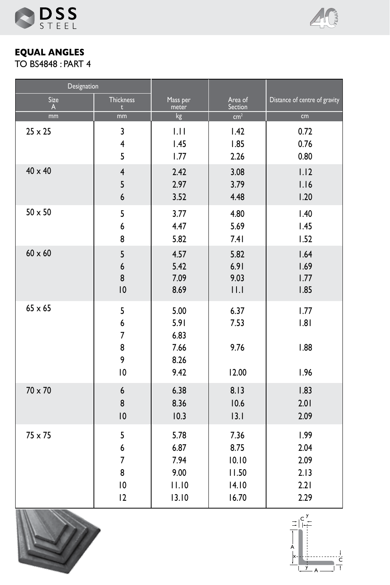



**EQUAL ANGLES** TO BS4848 : PART 4

| Designation    |                                          |                                              |                               |                               |
|----------------|------------------------------------------|----------------------------------------------|-------------------------------|-------------------------------|
| Size           | <b>Thickness</b>                         | Mass per                                     | Area of                       | Distance of centre of gravity |
| $\mathsf{A}$   | $\mathbf{t}$                             | meter                                        | Section                       |                               |
| mm             | mm                                       | kg                                           | cm <sup>2</sup>               | cm                            |
| $25 \times 25$ | 3                                        | 1.11                                         | 1.42                          | 0.72                          |
|                | $\overline{4}$                           | 1.45                                         | 1.85                          | 0.76                          |
|                | 5                                        | 1.77                                         | 2.26                          | 0.80                          |
| $40 \times 40$ | $\overline{4}$                           | 2.42                                         | 3.08                          | 1.12                          |
|                | 5                                        | 2.97                                         | 3.79                          | 1.16                          |
|                | 6                                        | 3.52                                         | 4.48                          | 1.20                          |
| $50 \times 50$ | 5                                        | 3.77                                         | 4.80                          | 1.40                          |
|                | 6                                        | 4.47                                         | 5.69                          | 1.45                          |
|                | 8                                        | 5.82                                         | 7.41                          | 1.52                          |
| $60 \times 60$ | 5                                        | 4.57                                         | 5.82                          | 1.64                          |
|                | $\boldsymbol{6}$                         | 5.42                                         | 6.91                          | 1.69                          |
|                | 8                                        | 7.09                                         | 9.03                          | 1.77                          |
|                | 10                                       | 8.69                                         | 11.1                          | 1.85                          |
| $65 \times 65$ | 5<br>6<br>$\overline{7}$<br>8<br>9<br>10 | 5.00<br>5.91<br>6.83<br>7.66<br>8.26<br>9.42 | 6.37<br>7.53<br>9.76<br>12.00 | 1.77<br> .8 <br>1.88<br>1.96  |
| $70 \times 70$ | 6                                        | 6.38                                         | 8.13                          | 1.83                          |
|                | 8                                        | 8.36                                         | 10.6                          | 2.01                          |
|                | 10                                       | 10.3                                         | 3.1                           | 2.09                          |
| $75 \times 75$ | 5                                        | 5.78                                         | 7.36                          | 1.99                          |
|                | 6                                        | 6.87                                         | 8.75                          | 2.04                          |
|                | $\overline{7}$                           | 7.94                                         | 10.10                         | 2.09                          |
|                | 8                                        | 9.00                                         | 11.50                         | 2.13                          |
|                | 10                                       | 11.10                                        | 14.10                         | 2.21                          |
|                | 12                                       | 13.10                                        | 16.70                         | 2.29                          |



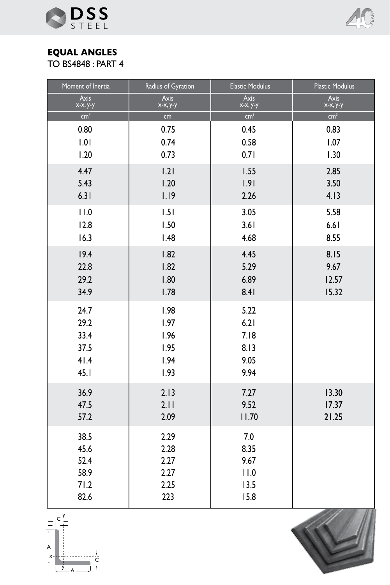



## **EQUAL ANGLES**

TO BS4848 : PART 4

| Moment of Inertia       | Radius of Gyration      | <b>Elastic Modulus</b>  | <b>Plastic Modulus</b>   |
|-------------------------|-------------------------|-------------------------|--------------------------|
| <b>Axis</b><br>x-x, y-y | <b>Axis</b><br>x-x, y-y | <b>Axis</b><br>x-x, y-y | <b>Axis</b><br>x-x, y-y  |
| cm <sup>4</sup>         | cm                      | cm <sup>3</sup>         | $\overline{\text{cm}^3}$ |
| 0.80                    | 0.75                    | 0.45                    | 0.83                     |
| 1.01                    | 0.74                    | 0.58                    | 1.07                     |
| 1.20                    | 0.73                    | 0.71                    | 1.30                     |
| 4.47                    | 1.21                    | 1.55                    | 2.85                     |
| 5.43                    | 1.20                    | 1.91                    | 3.50                     |
| 6.31                    | 1.19                    | 2.26                    | 4.13                     |
| 11.0                    | 1.51                    | 3.05                    | 5.58                     |
| 12.8                    | 1.50                    | 3.61                    | 6.61                     |
| 16.3                    | 1.48                    | 4.68                    | 8.55                     |
| 19.4                    | 1.82                    | 4.45                    | 8.15                     |
| 22.8                    | 1.82                    | 5.29                    | 9.67                     |
| 29.2                    | 1.80                    | 6.89                    | 12.57                    |
| 34.9                    | 1.78                    | 8.41                    | 15.32                    |
| 24.7                    | 1.98                    | 5.22                    |                          |
| 29.2                    | 1.97                    | 6.21                    |                          |
| 33.4                    | 1.96                    | 7.18                    |                          |
| 37.5<br>41.4            | 1.95<br>1.94            | 8.13<br>9.05            |                          |
| 45.1                    | 1.93                    | 9.94                    |                          |
|                         |                         |                         |                          |
| 36.9                    | 2.13                    | 7.27                    | 13.30                    |
| 47.5<br>57.2            | 2.11<br>2.09            | 9.52<br>11.70           | 17.37<br>21.25           |
|                         |                         |                         |                          |
| 38.5                    | 2.29                    | 7.0                     |                          |
| 45.6                    | 2.28                    | 8.35                    |                          |
| 52.4<br>58.9            | 2.27<br>2.27            | 9.67<br>11.0            |                          |
| 71.2                    | 2.25                    | 13.5                    |                          |
| 82.6                    | 223                     | 15.8                    |                          |



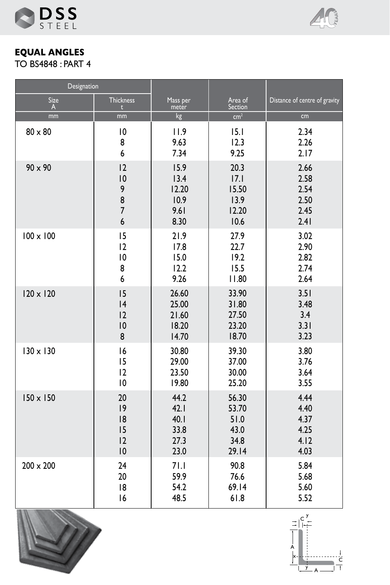



**EQUAL ANGLES** TO BS4848 : PART 4

| Designation      |                  |          |                 |                               |
|------------------|------------------|----------|-----------------|-------------------------------|
| Size             | <b>Thickness</b> | Mass per | Area of         | Distance of centre of gravity |
| A                | $\mathbf{t}$     | meter    | Section         |                               |
| mm               | mm               | kg       | cm <sup>2</sup> | cm                            |
| $80 \times 80$   | 10               | 11.9     | 15.1            | 2.34                          |
|                  | 8                | 9.63     | 12.3            | 2.26                          |
|                  | 6                | 7.34     | 9.25            | 2.17                          |
| $90 \times 90$   | 12               | 15.9     | 20.3            | 2.66                          |
|                  | 10               | 13.4     | 7.1             | 2.58                          |
|                  | 9                | 12.20    | 15.50           | 2.54                          |
|                  | 8                | 10.9     | 13.9            | 2.50                          |
|                  | $\overline{7}$   | 9.61     | 12.20           | 2.45                          |
|                  | 6                | 8.30     | 10.6            | 2.41                          |
| $100 \times 100$ | 15               | 21.9     | 27.9            | 3.02                          |
|                  | 12               | 17.8     | 22.7            | 2.90                          |
|                  | 10               | 15.0     | 19.2            | 2.82                          |
|                  | 8                | 12.2     | 15.5            | 2.74                          |
|                  | 6                | 9.26     | 11.80           | 2.64                          |
| $120 \times 120$ | 15               | 26.60    | 33.90           | 3.51                          |
|                  | 4                | 25.00    | 31.80           | 3.48                          |
|                  | 12               | 21.60    | 27.50           | 3.4                           |
|                  | 10               | 18.20    | 23.20           | 3.31                          |
|                  | 8                | 14.70    | 18.70           | 3.23                          |
| $130 \times 130$ | 16               | 30.80    | 39.30           | 3.80                          |
|                  | 15               | 29.00    | 37.00           | 3.76                          |
|                  | 12               | 23.50    | 30.00           | 3.64                          |
|                  | 10               | 19.80    | 25.20           | 3.55                          |
| $150 \times 150$ | 20               | 44.2     | 56.30           | 4.44                          |
|                  | 9                | 42.1     | 53.70           | 4.40                          |
|                  | 18               | 40.1     | 51.0            | 4.37                          |
|                  | 15               | 33.8     | 43.0            | 4.25                          |
|                  | 12               | 27.3     | 34.8            | 4.12                          |
|                  | 10               | 23.0     | 29.14           | 4.03                          |
| $200 \times 200$ | 24               | 71.1     | 90.8            | 5.84                          |
|                  | 20               | 59.9     | 76.6            | 5.68                          |
|                  | 18               | 54.2     | 69.14           | 5.60                          |
|                  | 16               | 48.5     | 61.8            | 5.52                          |